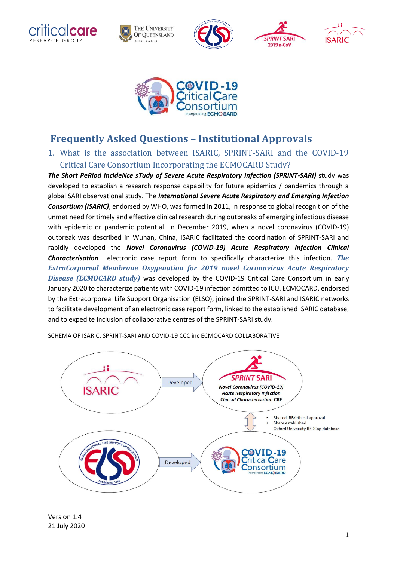



# **Frequently Asked Questions – Institutional Approvals**

1. What is the association between ISARIC, SPRINT-SARI and the COVID-19 Critical Care Consortium Incorporating the ECMOCARD Study?

*The Short PeRiod IncideNce sTudy of Severe Acute Respiratory Infection (SPRINT-SARI)* study was developed to establish a research response capability for future epidemics / pandemics through a global SARI observational study. The *International Severe Acute Respiratory and Emerging Infection Consortium (ISARIC)*, endorsed by WHO, was formed in 2011, in response to global recognition of the unmet need for timely and effective clinical research during outbreaks of emerging infectious disease with epidemic or pandemic potential. In December 2019, when a novel coronavirus (COVID-19) outbreak was described in Wuhan, China, ISARIC facilitated the coordination of SPRINT-SARI and rapidly developed the *Novel Coronavirus (COVID-19) Acute Respiratory Infection Clinical Characterisation* electronic case report form to specifically characterize this infection. *The ExtraCorporeal Membrane Oxygenation for 2019 novel Coronavirus Acute Respiratory Disease (ECMOCARD study)* was developed by the COVID-19 Critical Care Consortium in early January 2020 to characterize patients with COVID-19 infection admitted to ICU. ECMOCARD, endorsed by the Extracorporeal Life Support Organisation (ELSO), joined the SPRINT-SARI and ISARIC networks to facilitate development of an electronic case report form, linked to the established ISARIC database, and to expedite inclusion of collaborative centres of the SPRINT-SARI study.



SCHEMA OF ISARIC, SPRINT-SARI AND COVID-19 CCC inc ECMOCARD COLLABORATIVE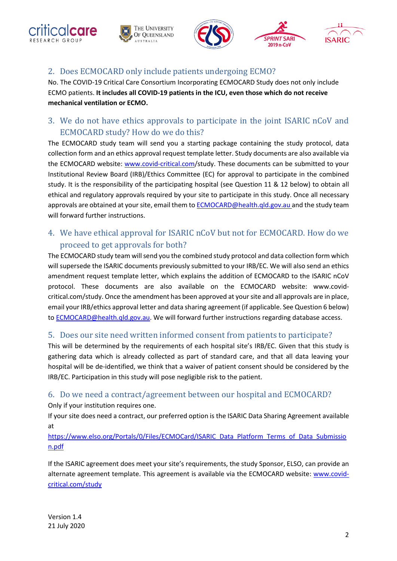







# 2. Does ECMOCARD only include patients undergoing ECMO?

No. The COVID-19 Critical Care Consortium Incorporating ECMOCARD Study does not only include ECMO patients. **It includes all COVID-19 patients in the ICU, even those which do not receive mechanical ventilation or ECMO.**

# 3. We do not have ethics approvals to participate in the joint ISARIC nCoV and ECMOCARD study? How do we do this?

The ECMOCARD study team will send you a starting package containing the study protocol, data collection form and an ethics approval request template letter. Study documents are also available via the ECMOCARD website: [www.covid-critical.com/](http://www.covid-critical.com/)study. These documents can be submitted to your Institutional Review Board (IRB)/Ethics Committee (EC) for approval to participate in the combined study. It is the responsibility of the participating hospital (see Question 11 & 12 below) to obtain all ethical and regulatory approvals required by your site to participate in this study. Once all necessary approvals are obtained at your site, email them to [ECMOCARD@health.qld.gov.au](mailto:g.libassi@uq.edu.au) and the study team will forward further instructions.

# 4. We have ethical approval for ISARIC nCoV but not for ECMOCARD. How do we proceed to get approvals for both?

The ECMOCARD study team will send you the combined study protocol and data collection form which will supersede the ISARIC documents previously submitted to your IRB/EC. We will also send an ethics amendment request template letter, which explains the addition of ECMOCARD to the ISARIC nCoV protocol. These documents are also available on the ECMOCARD website: www.covidcritical.com/study. Once the amendment has been approved at your site and all approvals are in place, email your IRB/ethics approval letter and data sharing agreement (if applicable. See Question 6 below) to [ECMOCARD@health.qld.gov.au.](mailto:g.libassi@uq.edu.au) We will forward further instructions regarding database access.

#### 5. Does our site need written informed consent from patients to participate?

This will be determined by the requirements of each hospital site's IRB/EC. Given that this study is gathering data which is already collected as part of standard care, and that all data leaving your hospital will be de-identified, we think that a waiver of patient consent should be considered by the IRB/EC. Participation in this study will pose negligible risk to the patient.

## 6. Do we need a contract/agreement between our hospital and ECMOCARD?

Only if your institution requires one.

If your site does need a contract, our preferred option is the ISARIC Data Sharing Agreement available at

[https://www.elso.org/Portals/0/Files/ECMOCard/ISARIC\\_Data\\_Platform\\_Terms\\_of\\_Data\\_Submissio](https://www.elso.org/Portals/0/Files/ECMOCard/ISARIC_Data_Platform_Terms_of_Data_Submission.pdf) [n.pdf](https://www.elso.org/Portals/0/Files/ECMOCard/ISARIC_Data_Platform_Terms_of_Data_Submission.pdf)

If the ISARIC agreement does meet your site's requirements, the study Sponsor, ELSO, can provide an alternate agreement template. This agreement is available via the ECMOCARD website: [www.covid](file:///C:/Users/CorleyA/Downloads/www.ecmocard.org)[critical.com/study](file:///C:/Users/CorleyA/Downloads/www.ecmocard.org)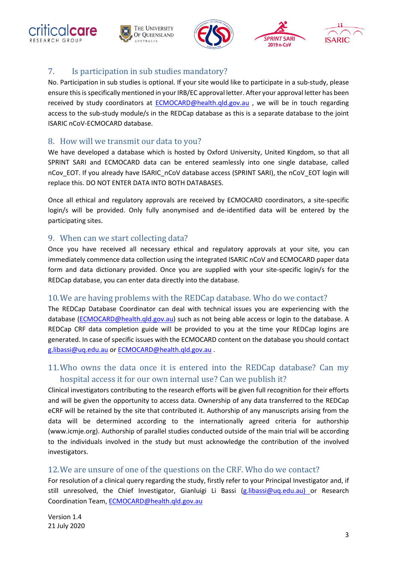









# 7. Is participation in sub studies mandatory?

No. Participation in sub studies is optional. If your site would like to participate in a sub-study, please ensure this is specifically mentioned in your IRB/EC approval letter. After your approval letter has been received by study coordinators at [ECMOCARD@health.qld.gov.au](mailto:ECMOCARD@health.qld.gov.au) , we will be in touch regarding access to the sub-study module/s in the REDCap database as this is a separate database to the joint ISARIC nCoV-ECMOCARD database.

#### 8. How will we transmit our data to you?

We have developed a database which is hosted by Oxford University, United Kingdom, so that all SPRINT SARI and ECMOCARD data can be entered seamlessly into one single database, called nCov\_EOT. If you already have ISARIC\_nCoV database access (SPRINT SARI), the nCoV\_EOT login will replace this. DO NOT ENTER DATA INTO BOTH DATABASES.

Once all ethical and regulatory approvals are received by ECMOCARD coordinators, a site-specific login/s will be provided. Only fully anonymised and de-identified data will be entered by the participating sites.

## 9. When can we start collecting data?

Once you have received all necessary ethical and regulatory approvals at your site, you can immediately commence data collection using the integrated ISARIC nCoV and ECMOCARD paper data form and data dictionary provided. Once you are supplied with your site-specific login/s for the REDCap database, you can enter data directly into the database.

## 10.We are having problems with the REDCap database. Who do we contact?

The REDCap Database Coordinator can deal with technical issues you are experiencing with the database [\(ECMOCARD@health.qld.gov.au\)](mailto:ECMOCARD@health.qld.gov.au) such as not being able access or login to the database. A REDCap CRF data completion guide will be provided to you at the time your REDCap logins are generated. In case of specific issues with the ECMOCARD content on the database you should contact [g.libassi@uq.edu.au](mailto:g.libassi@uq.edu.au) or [ECMOCARD@health.qld.gov.au](mailto:ECMOCARD@health.qld.gov.au) .

# 11.Who owns the data once it is entered into the REDCap database? Can my hospital access it for our own internal use? Can we publish it?

Clinical investigators contributing to the research efforts will be given full recognition for their efforts and will be given the opportunity to access data. Ownership of any data transferred to the REDCap eCRF will be retained by the site that contributed it. Authorship of any manuscripts arising from the data will be determined according to the internationally agreed criteria for authorship (www.icmje.org). Authorship of parallel studies conducted outside of the main trial will be according to the individuals involved in the study but must acknowledge the contribution of the involved investigators.

## 12.We are unsure of one of the questions on the CRF. Who do we contact?

For resolution of a clinical query regarding the study, firstly refer to your Principal Investigator and, if still unresolved, the Chief Investigator, Gianluigi Li Bassi [\(g.libassi@uq.edu.au\)](mailto:g.libassi@uq.edu.au) or Research Coordination Team, [ECMOCARD@health.qld.gov.au](mailto:ECMOCARD@health.qld.gov.au)

Version 1.4 21 July 2020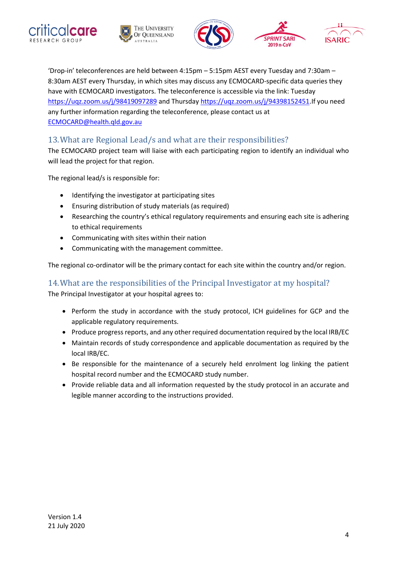







'Drop-in' teleconferences are held between 4:15pm – 5:15pm AEST every Tuesday and 7:30am – 8:30am AEST every Thursday, in which sites may discuss any ECMOCARD-specific data queries they have with ECMOCARD investigators. The teleconference is accessible via the link: Tuesday <https://uqz.zoom.us/j/98419097289> and Thursday [https://uqz.zoom.us/j/94398152451.](https://uqz.zoom.us/j/94398152451)If you need any further information regarding the teleconference, please contact us at [ECMOCARD@health.qld.gov.au](file:///C:/Users/CorleyA/Downloads/ECMOCARD@health.qld.gov.au)

#### 13.What are Regional Lead/s and what are their responsibilities?

The ECMOCARD project team will liaise with each participating region to identify an individual who will lead the project for that region.

The regional lead/s is responsible for:

- Identifying the investigator at participating sites
- Ensuring distribution of study materials (as required)
- Researching the country's ethical regulatory requirements and ensuring each site is adhering to ethical requirements
- Communicating with sites within their nation
- Communicating with the management committee.

The regional co-ordinator will be the primary contact for each site within the country and/or region.

#### 14.What are the responsibilities of the Principal Investigator at my hospital?

The Principal Investigator at your hospital agrees to:

- Perform the study in accordance with the study protocol, ICH guidelines for GCP and the applicable regulatory requirements.
- Produce progress reports, and any other required documentation required by the local IRB/EC
- Maintain records of study correspondence and applicable documentation as required by the local IRB/EC.
- Be responsible for the maintenance of a securely held enrolment log linking the patient hospital record number and the ECMOCARD study number.
- Provide reliable data and all information requested by the study protocol in an accurate and legible manner according to the instructions provided.